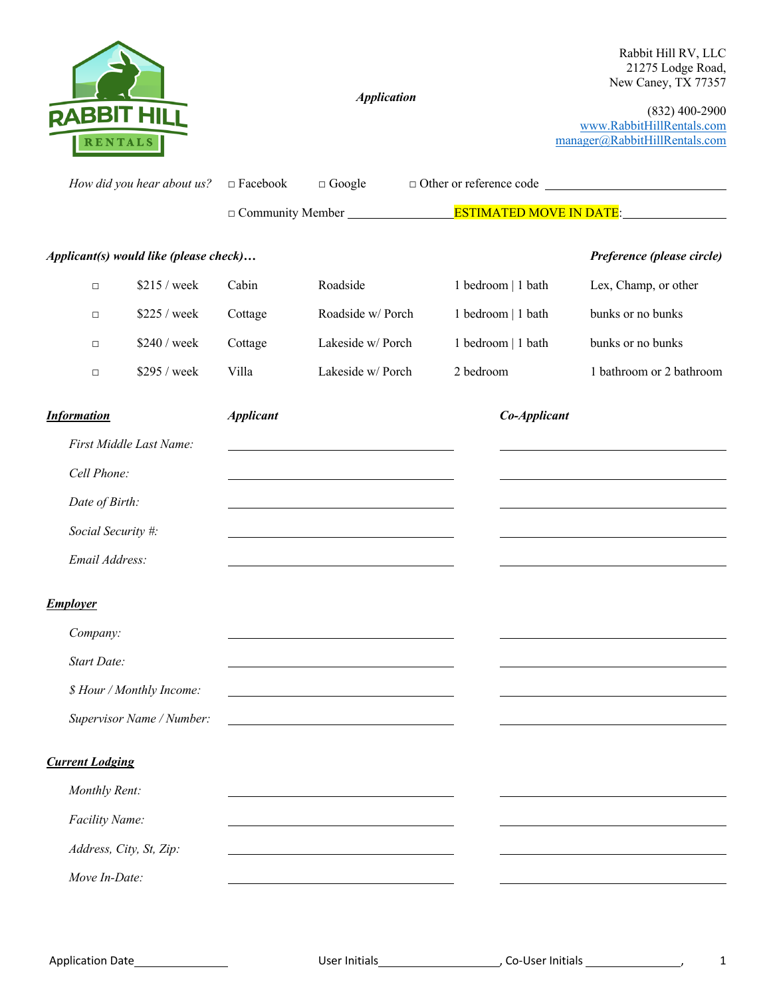

*Move In-Date:*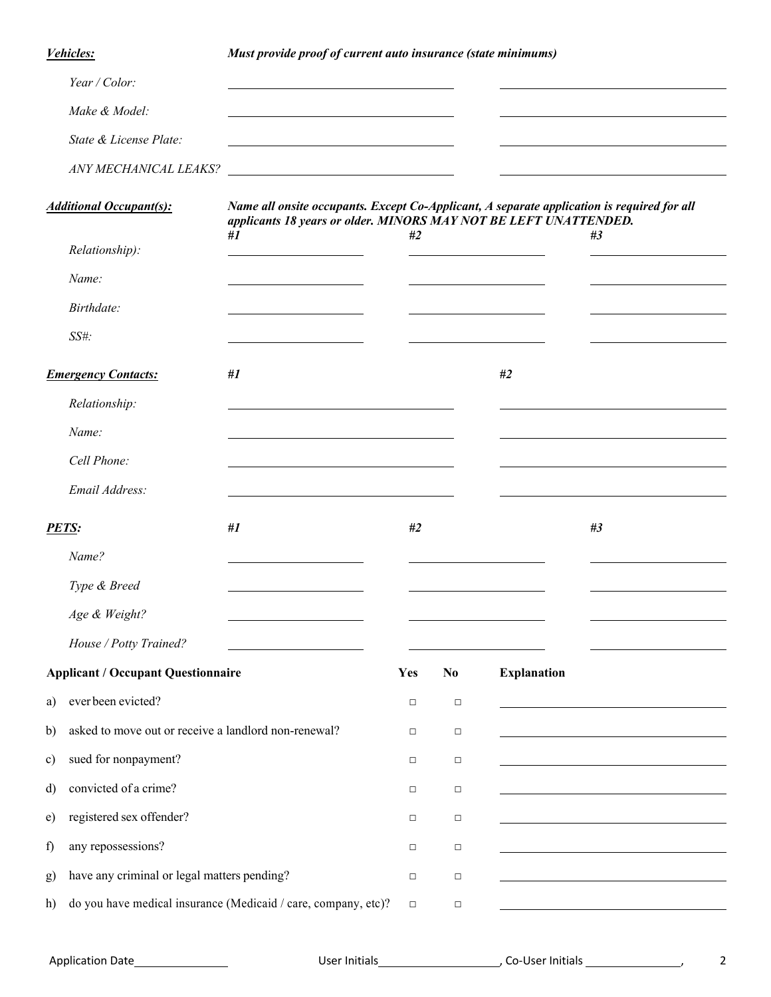*Vehicles: Must provide proof of current auto insurance (state minimums)*

|                                | Year / Color:                                        |                                                                                                                                                                |        |          |                    |    |
|--------------------------------|------------------------------------------------------|----------------------------------------------------------------------------------------------------------------------------------------------------------------|--------|----------|--------------------|----|
|                                | Make & Model:                                        |                                                                                                                                                                |        |          |                    |    |
|                                | State & License Plate:                               |                                                                                                                                                                |        |          |                    |    |
|                                | ANY MECHANICAL LEAKS?                                |                                                                                                                                                                |        |          |                    |    |
| <b>Additional Occupant(s):</b> |                                                      | Name all onsite occupants. Except Co-Applicant, A separate application is required for all<br>applicants 18 years or older. MINORS MAY NOT BE LEFT UNATTENDED. |        |          |                    |    |
|                                | Relationship):                                       | #1                                                                                                                                                             | #2     |          |                    | #3 |
|                                | Name:                                                |                                                                                                                                                                |        |          |                    |    |
|                                | Birthdate:                                           |                                                                                                                                                                |        |          |                    |    |
|                                | SS#:                                                 |                                                                                                                                                                |        |          |                    |    |
| <b>Emergency Contacts:</b>     |                                                      | #1                                                                                                                                                             |        |          | #2                 |    |
|                                | Relationship:                                        |                                                                                                                                                                |        |          |                    |    |
|                                | Name:                                                |                                                                                                                                                                |        |          |                    |    |
|                                | Cell Phone:                                          |                                                                                                                                                                |        |          |                    |    |
|                                | Email Address:                                       |                                                                                                                                                                |        |          |                    |    |
| <b>PETS:</b>                   |                                                      | #1                                                                                                                                                             | #2     |          |                    | #3 |
|                                | Name?                                                |                                                                                                                                                                |        |          |                    |    |
|                                |                                                      |                                                                                                                                                                |        |          |                    |    |
|                                | Type & Breed                                         |                                                                                                                                                                |        |          |                    |    |
|                                | Age & Weight?                                        |                                                                                                                                                                |        |          |                    |    |
|                                | House / Potty Trained?                               |                                                                                                                                                                |        |          |                    |    |
|                                | <b>Applicant / Occupant Questionnaire</b>            |                                                                                                                                                                | Yes    | $\bf No$ | <b>Explanation</b> |    |
| a)                             | ever been evicted?                                   |                                                                                                                                                                | $\Box$ | $\Box$   |                    |    |
| b)                             | asked to move out or receive a landlord non-renewal? |                                                                                                                                                                | $\Box$ | $\Box$   |                    |    |
| $\mathbf{c})$                  | sued for nonpayment?                                 |                                                                                                                                                                | $\Box$ | $\Box$   |                    |    |
| d)                             | convicted of a crime?                                |                                                                                                                                                                | $\Box$ | $\Box$   |                    |    |
| e)                             | registered sex offender?                             |                                                                                                                                                                | $\Box$ | $\Box$   |                    |    |
| f                              | any repossessions?                                   |                                                                                                                                                                | $\Box$ | $\Box$   |                    |    |
| g)                             | have any criminal or legal matters pending?          |                                                                                                                                                                | $\Box$ | $\Box$   |                    |    |